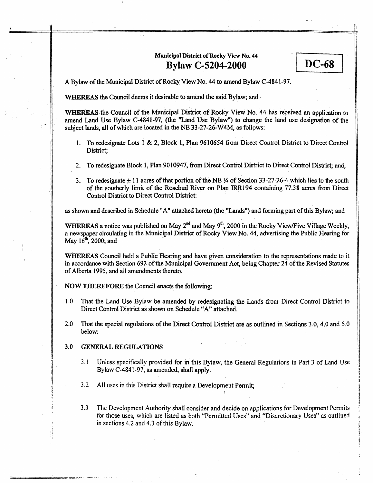# **Municipal District of Rocky View No. 44 Bylaw C-5204-2000**

 $DC-68$ 

**I** 

**<sup>A</sup>**Bylaw of the Municipal District of **kwky** View No. **44 to** amend Bylaw **C-4841-97.** 

WHEREAS the Council deems it desirable to amend **the** said Bylaw; and -

WHEREAS the Council of the Municipal District of Rocky View No. **44 has** received an application to amend Land Use **Bylaw C-4841-97,** (the **"Land** Use Bylaw") **to** change the land use designation **of** the subject lands, all of which are located in the NE **33-27-26-W4M, as**follows:

- **1.** To redesignate **Lots** 1 & **2,** Block 1, Plan **9610654** fiorn Direct Control District to Direct Control District;
- 2. To redesignate Block 1, Plan 9010947, **from** Direct **Control** District to Direct Control District; and,
- 3. To redesignate *3.* I 1 acres of that portion of **the** NE ?4 of Section **33-27-26-4** which lies to **the south**  of the southerly Iimit of the Rosebud River **on** Plan **lRR194** containing 77.38 acres **from** Direct Control District to Direct Control District:

**as** shown and described in Schedule "A" **attached** hereto (the **"Landst')** and forming **part** of this **Bylaw;** and

**WHEREAS a** notice **was** published on May **2"'** and May **9\*,** 2000 in the **Rocky** ViewFive Village Weekly, **<sup>a</sup>**newspaper circulating in the Municipal **District** of Rocky View No. **44,** advertising the Public Hearing for May  $16^{th}$ , 2000; and

WHEREAS Council held a Public Hearing and have given consideration to the representations made to it in accordance with Section 692 of the Municipal Government Act, being Chapter 24 of the Revised Statutes of Alberta 1995, and all amendments thereto.

**NOW** THEREFORE the Council enacts *the* following:

- **1.0** That the Land Use Bylaw be amended **by** redesignating **the** Lands fiom Direct Control District to Direct Control District **as** shown on Schedule **"A"** attached.
- 2.0 That the special regulations of the Direct Control District are as outlined in Sections 3.0, 4.0 and 5.0 **below:**

#### **3.0 GENERAL REGULATIONS**

- 3.1 Unless specifically provided for in this Bylaw, the General Regulations in Part 3 of Land Use Bylaw **C-484** 1-97, **as** amended, shall apply.
- 3.2 All uses in this District shall require a Development Permit;
- **3.3** The Development Authority shall consider and decide on applications for Development Pemiits for those **uses,** which are listed **as** both "Permitted Uses" and "Discretionary Uses" **as** outiined in sections 4.2 and 4.3 of this Bylaw.

**1**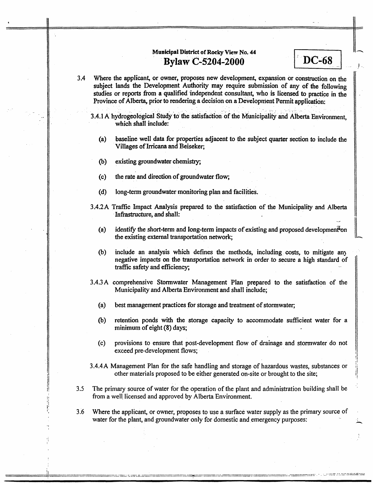# **Municipal District of Rocky View No. 44 Bylaw C-5204-2000**

**3.4** Where the applicant, or owner, proposes new development, expansion or construction **on** the subject lands the Development **Authority may** require submission of any of **the** following studies or reports from a qualified independent consultant, who is licensed to practice in the Province of Alberta., prior to rendering **a** decision on a Development Permit application:

3.4.1 A hydrogeological Study to the satisfaction of the Municipality and Alberta Environment, which shall include:

**I** 

**DC-68** 

'

- (a) **baseline** well data for properties adjacent to the subject quarter section to include the Villages of **Irricana** and Beiseker;
- (b) existing groundwater chemistry;
- (c) the rate and direction of groundwater flow;
- **(d)** long-term groundwater monitoring plan and facilities.
- **3.4.2A** TraEc Impact Analysis prepared to the satisfaction of the Municipality and Alberta Infrastructure, and shall:
	- identify the short-term and long-term impacts of existing and proposed development on the existing external transportation network; (a)
	- (b) include an analysis which defines the methods, including *costs,* to mitigate **an)**  negative impacts **on** the transportation network in order to secure a high standard of trafic safety and efficiency;
- **3.4.3 A** comprehensive Stormwater Management Plan prepared to the satisfaction of the Municipality and Alberta Environment and shal1 include;
	- (a) best management practices for storage and treatment of stormwater;
	- (b) retention ponds with **the** storage capacity to accommodate sufficient water for a minimum of eight **(8)** days;
	- (c) provisions to ensure that post-development **flow** of drainage and stormwater do not exceed pre-development flows;
- **3.4.4A** Management Plan for the safe handling and storage of hazardous wastes, substances or other materials proposed to be either generated on-site or brought to the site;
- **3.5** The primary source of water for the operation of the plant and administration building shall be from a well, licensed and approved by Alberta Environment.
- **3.6** Where the applicant, or owner, proposes to use a surface water supply **as** the primary source of other materials proposed to be either generated on-site or brought to the site;<br>The primary source of water for the operation of the plant and administration building shall be<br>from a well licensed and approved by Alberta E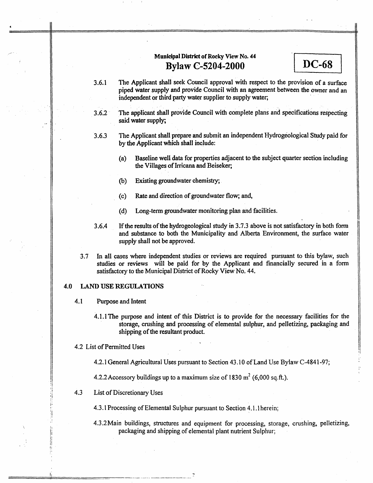# **Municipal District of Rocky View No. <sup>44</sup> Bvlaw C-5204-2000**

**3.6.1**  The Applicant shall seek Council approval with respect to the provision of a surface piped water supply and provide Councii with an agreement between the owner and an independent or third party water supplier to supply water;

**DC-68** 

- **3.6.2 The** applicant shall provide Council with complete plans and specifications respecting said water supply;
- **3.6.3**  The Applicant shall prepare **and** submit an independent Hydrogeological Study paid for **by** the Applicant which shall include:
	- (a) Baseline well data for properties adjacent to the subject quarter section including the Villages of **Imcana** and Beiseker;
	- (b) Existing groundwater chemistry;
	- (c) Rate and direction of groundwater flow; and,
	- (d) Long-term groundwater monitoring plan **and** facilities.
- **3.6.4**  If **the** results of the hydrogeological **study** in **3.7.3** above is not satisfactory in both form and substance to **both** the Municipality and Alberta Environment, the surface water supply shall not be approved.
- **.3.7** In all cases where independent studies or reviews are required pursuant to this bylaw, **such**  studies or reviews will be paid for by the Applicant and financially secured in a form satisfactory to the Municipal District of Rocky View No. **44.**

#### **4.0 LAND USE REGULATIONS**

**4** 

- **4.1** Purpose and Intent
	- **4.1.1** The purpose and intent of this District is to provide for the necessary facilities for the storage, crushing and processing of elemental sulphur, and pelletizing, packaging **and**  shipping of the resultant product.
- 4.2 List of Permitted Uses

**4.2.1** General Agricultural Uses pursuant to Section 43.10 of Land Use Bylaw **C-4841-97;** 

4.2.2Accessory buildings up to **a** maximum size of I830 **m2 (6,000** sq.R.).

4.3 List of Discretionary Uses

4.3. I Processing of Elemental Sulphur pursuant to Section **4.1.1** herein;

4.3.2 Main buildings, structures and equipment for processing, storage, crushing, pelletizing, packaging and shipping of elemental plant nutrient Sulphur;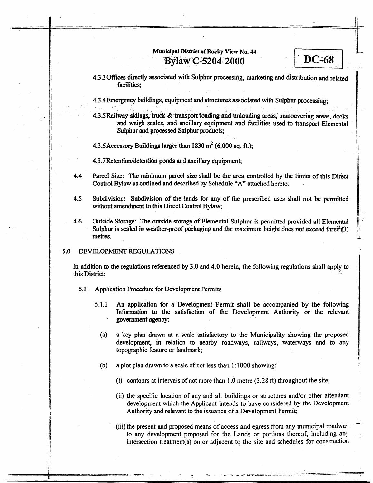### Municipal District of Rocky View No. 44 **Bylaw C-5204-2000**

**4.3.3** Offices directly associated with Sulphur processing, marketing and distribution and related facilities;

-.

**DC-68** 

-

4.3.4Emergency buildings, equipment and structures associated with Sulphur processing;

4.3.SRailway sidings, truck & **transport** loading arid unloading areas, manoevering **arw, docks**  and weigh scales, and ancillary equipment and facilities used to transport Elemental Sulphur and processed Sulphur products;

4.3.6Accessory Buildings larger than **1830 m2 (6,000 sq. ft.);** 

4.3.7 Retention/detention ponds and ancillary equipment;

- **4.4**  Parcel Size: The minimum parcel size shall be the **area** controlled by the limits of this Direct Control Bylaw **as** outlined and described **by** Schedule **"A"** attached hereto.
- **4.5**  Subdivision: Subdivision of **the** lands for any of the prescribed uses shall not be permitted without amendment to **this** Direct **Control** Bylaw,
- *4.6*  Outside Storage: **The** outside storage of Elemental Sufphur is permitted provided **a11** EIementaI Sulphur is sealed in weather-proof packaging and the maximum height does not exceed three  $(3)$ metres.

#### **5.0** DEVELOPMENT **REGLJL,ATIONS**

**c** 

In addition to the regulations referenced by 3.0 and 4.0 herein, the following regulations shall apply to this District:

- **5.1** Application Procedure for Development Permits
	- **5.1.1** An application for a Development Permit shall be accompanied by the following Information to the satisfaction of the Development Authority or the relevant government agency:
		- **a** key plan drawn at a scale satisfactory to the Municipality showing the proposed development, in relation **to** nearby roadways, railways, waterways and to any topographic feature or landmark; **(a)**
		- **(b) a** plot plan drawn to a scale of not less than 1 : 1000 showing:'
			- (i) contours at intervals of not more than I **.O** metre (3.28 **ft)** throughout the site;
			- (ii) the specific location of any and all buildings or structures and/or other attendant development which the Applicant intends to have considered by the Development Authority and relevant to the issuance of a Development Permit;
			- (iii) the present and proposed means of access and egress From any municipal roadwa:' to any development proposed for the Lands or portions thereof, including any  $intersection$  treatment(s) on or adjacent to the site and schedules for construction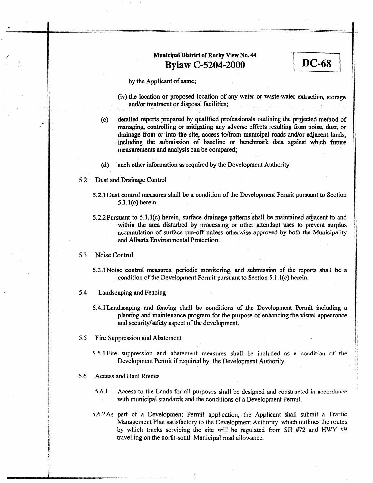# **Municipal District of Rocky View No. 44<br>
<b>B**VIaw C-5204-2000 **Bylaw C-5204-2000**

**by** the Applicant of same;

- (iv) **the** location or proposed location of any water *or* waste-water extraction, storage and/or treatment or disposal facilities;
- (c) detailed reports prepared by qualified professionak outlining the projected method of managing, controlling or mitigating any adverse effects resulting **fiom** noise, dust, or drainage **from** or into the site, **access** to/from municipal roads **andlor** adjacent lands, including the submission of baseline or benchmark data against which future measurements and analysis *can* be compared;
- **(d) such** other information **as** required by the Development Authority.
- 5.2 Dust and Drainage Control
	- **5.2.1** Dust control measures shall be a condition of the Development Permit pursuant to Section 5.1.1 **(c)** herein.
	- 5.2.2Pursuant to **5.1.1(c)** herein, surface drainage patterns shall be maintained adjacent to and within the area disturbed by processing or other attendant uses to prevent surplus accumulation of surface run-off unless otherwise approved **by** both the Municipality and Alberta Environmental Protection.

#### 5.3 Noise Control

/'

**I** 

- 5.3.lNaise control measures, periodic monitoring, and submission of the reports shall be a condition of the Development Permit pursuant to Section 5.1.1(c) herein.
- *5.4* Landscaping and Fencing
	- 5.4.1Landscaping and fencing shall be conditions of the Development Permit including a planting and maintenance program for the purpose of enhancing the visual appearance and security/safety aspect of the development.
- *5.5* Fire Suppression and Abatement
	- 5.5.1Fire suppression and abatement measures shall be included **as a** condition of the Development Permit if required by the Development Authority.
- 5.6 Access and Haul Routes
	- 5.6.1 **Access** to the Lands for all purposes shall be designed and constructed in accordance with municipal standards and the conditions of **a** Development **Permit.**

'

**5.6.2As** part of a Development Permit application, the Applicant shall submit a Traffic Management Plan satisfactory to the Development Authority which outlines the routes by which trucks servicing the site will be regulated from SH #72 and HWY #9 travelling on the north-south Municipal road allowance.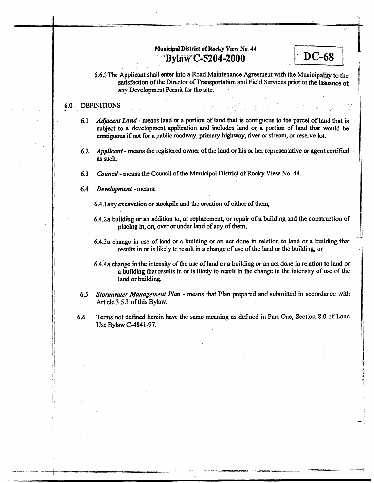### **Municipal District of RocQ View No. 44 Bylaw C-5204-2000**

**5.6.3** The Applicant shall enter into a Road Maintenance Agreement with the Municipality to the satisfaction of the Director of Transportation and Field Services prior to the issuance **of**  any Development Permit for the site.

-. I

DC-68

### **6.0** DEFINITIONS

**I** 

- **6.1** *Agaceni* Land means land or a portion of land that is contiguous to the parcel of land that **is**  subject to **a** development application and includes land **or** a portion of land **that** would be contiguous if not for **a** public roadway, primary highway, river or stream, or reserve lot.
- **6.2** *Applicant*  **means** the registered owner of **the** land **or** his or her representative or agent certified **as** such.
- **6.3**  *Councif* - means the Council of the Municipal District of **Rocky** View No. **44.**
- **6.4** Development means:

**6.4.1** any excavation or stockpile and the creation of either of them,

- **6.4.2a** building or **an** addition **to,** or replacement, or repair **of a** building and **the** construction of placing in, on, **over** or under land of any of **them,**
- **6.4.3a** change in use of land or a building **or** an act done in relation to land or **a** building **tha+**  results in or is likely to result in a change of use of the land or the building, or
- **6.4.4a** change in the intensity of the **use** of land or a building or **an** act done in relation to land or **a** building that results in or is likely to result in the change in the intensity of use of the land or building.
- **6.5** *Stormwater Management PIan* = means that Plan prepared and submitted in accordance *with*  Article **3.5.3** of this Bylaw.
- **6.6** Terms not defined herein have **the** same meaning **as** defined in Part One, Section 8.0 of Land **Use** Bylaw **C-484** *1-97.*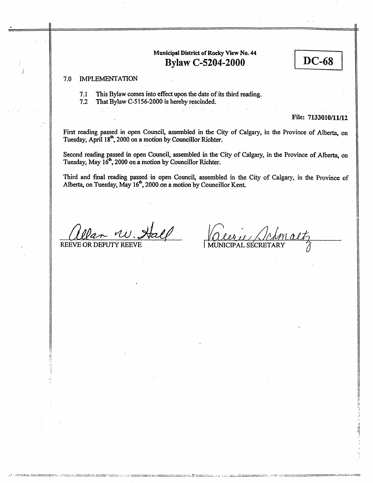# **Municipal District of Rocky View No. 44 Bylaw C-5204-2000**

### 7.0 **IMPLEMENTATION**

7.1 **This Bylaw comes into effect upori the date of its third reading.** 

**7.2 That Bylaw C-5 156-2000 is hereby rescinded.** 

### **File: 7 13 30 1 0/11/12**

 $DC-68$ 

First reading passed in open Council, assembled in the City of Calgary, in the Province of Alberta, on **Tuesday, April 18', 2000 on a motion by Councillor Richter.** 

**Second reading passed in open Council, assembled in the City of Calgary, in the Province of Alberta, on Tuesday, May 16', 2000 on a motion by Councillor Richter.** 

Third **and final reading passed in open Council, assembled in the City** of **Calgary,** in **the Province** of **Alberta, on Tuesday, May 16\*, 2000 on a motion by Councillor Kent.** 

REEVE OR DEPUTY REEVE 1 MUNICIPAL SECRETARY